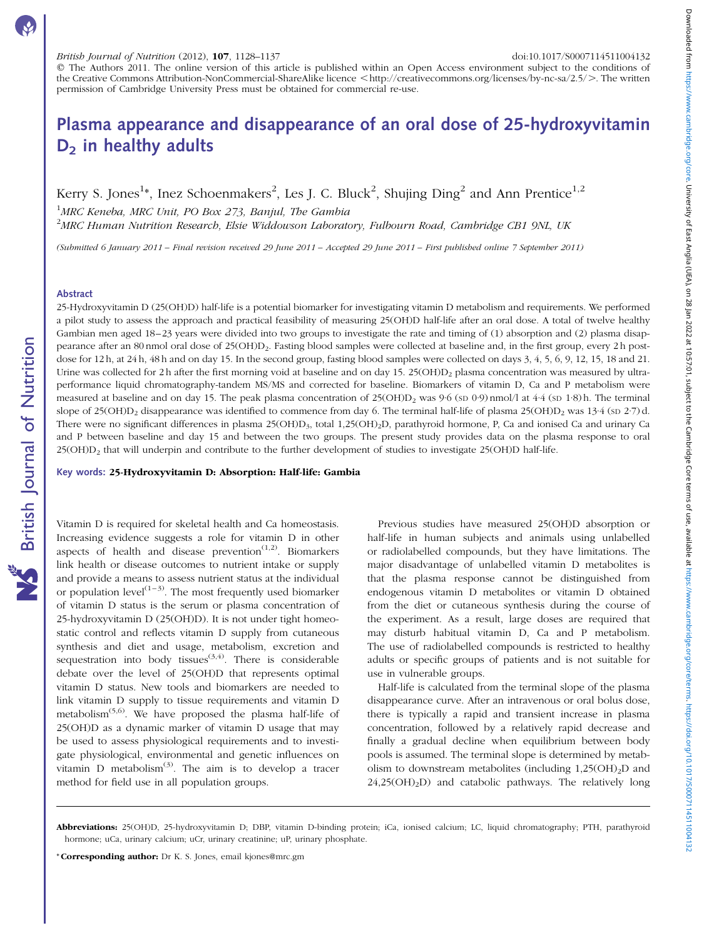q The Authors 2011. The online version of this article is published within an Open Access environment subject to the conditions of the Creative Commons Attribution-NonCommercial-ShareAlike licence <http://creativecommons.org/licenses/by-nc-sa/2.5/ $>$ . The written permission of Cambridge University Press must be obtained for commercial re-use.

# Plasma appearance and disappearance of an oral dose of 25-hydroxyvitamin  $D<sub>2</sub>$  in healthy adults

Kerry S. Jones<sup>1</sup>\*, Inez Schoenmakers<sup>2</sup>, Les J. C. Bluck<sup>2</sup>, Shujing Ding<sup>2</sup> and Ann Prentice<sup>1,2</sup>

<sup>1</sup>MRC Keneba, MRC Unit, PO Box 273, Banjul, The Gambia  $^{2}$ MRC Human Nutrition Research, Elsie Widdowson Laboratory, Fulbourn Road, Cambridge CB1 9NL, UK

(Submitted 6 January 2011 – Final revision received 29 June 2011 – Accepted 29 June 2011 – First published online 7 September 2011)

# Abstract

British Journal of Nutrition

**NS** British Journal of Nutrition

25-Hydroxyvitamin D (25(OH)D) half-life is a potential biomarker for investigating vitamin D metabolism and requirements. We performed a pilot study to assess the approach and practical feasibility of measuring 25(OH)D half-life after an oral dose. A total of twelve healthy Gambian men aged 18–23 years were divided into two groups to investigate the rate and timing of (1) absorption and (2) plasma disappearance after an 80 nmol oral dose of 25(OH)D2. Fasting blood samples were collected at baseline and, in the first group, every 2 h postdose for 12 h, at 24 h, 48 h and on day 15. In the second group, fasting blood samples were collected on days 3, 4, 5, 6, 9, 12, 15, 18 and 21. Urine was collected for 2 h after the first morning void at baseline and on day 15.  $25(OHD)_2$  plasma concentration was measured by ultraperformance liquid chromatography-tandem MS/MS and corrected for baseline. Biomarkers of vitamin D, Ca and P metabolism were measured at baseline and on day 15. The peak plasma concentration of  $25(OHD)_2$  was 9·6 (sp 0·9) nmol/l at 4·4 (sp 1·8) h. The terminal slope of 25(OH)D<sub>2</sub> disappearance was identified to commence from day 6. The terminal half-life of plasma 25(OH)D<sub>2</sub> was 13<sup>-4</sup> (sD 2·7) d. There were no significant differences in plasma 25(OH)D3, total 1,25(OH)2D, parathyroid hormone, P, Ca and ionised Ca and urinary Ca and P between baseline and day 15 and between the two groups. The present study provides data on the plasma response to oral 25(OH)D<sub>2</sub> that will underpin and contribute to the further development of studies to investigate 25(OH)D half-life.

Key words: 25-Hydroxyvitamin D: Absorption: Half-life: Gambia

Vitamin D is required for skeletal health and Ca homeostasis. Increasing evidence suggests a role for vitamin D in other aspects of health and disease prevention<sup> $(1,2)$ </sup>. Biomarkers link health or disease outcomes to nutrient intake or supply and provide a means to assess nutrient status at the individual or population level<sup> $(1-3)$ </sup>. The most frequently used biomarker of vitamin D status is the serum or plasma concentration of 25-hydroxyvitamin D (25(OH)D). It is not under tight homeostatic control and reflects vitamin D supply from cutaneous synthesis and diet and usage, metabolism, excretion and sequestration into body tissues<sup> $(3,4)$ </sup>. There is considerable debate over the level of 25(OH)D that represents optimal vitamin D status. New tools and biomarkers are needed to link vitamin D supply to tissue requirements and vitamin D metabolism(5,6). We have proposed the plasma half-life of 25(OH)D as a dynamic marker of vitamin D usage that may be used to assess physiological requirements and to investigate physiological, environmental and genetic influences on vitamin D metabolism $^{(3)}$ . The aim is to develop a tracer method for field use in all population groups.

Previous studies have measured 25(OH)D absorption or half-life in human subjects and animals using unlabelled or radiolabelled compounds, but they have limitations. The major disadvantage of unlabelled vitamin D metabolites is that the plasma response cannot be distinguished from endogenous vitamin D metabolites or vitamin D obtained from the diet or cutaneous synthesis during the course of the experiment. As a result, large doses are required that may disturb habitual vitamin D, Ca and P metabolism. The use of radiolabelled compounds is restricted to healthy adults or specific groups of patients and is not suitable for use in vulnerable groups.

Half-life is calculated from the terminal slope of the plasma disappearance curve. After an intravenous or oral bolus dose, there is typically a rapid and transient increase in plasma concentration, followed by a relatively rapid decrease and finally a gradual decline when equilibrium between body pools is assumed. The terminal slope is determined by metabolism to downstream metabolites (including  $1,25(OH)<sub>2</sub>D$  and  $24,25(OH)<sub>2</sub>D$  and catabolic pathways. The relatively long

\* Corresponding author: Dr K. S. Jones, email kjones@mrc.gm

Abbreviations: 25(OH)D, 25-hydroxyvitamin D; DBP, vitamin D-binding protein; iCa, ionised calcium; LC, liquid chromatography; PTH, parathyroid hormone; uCa, urinary calcium; uCr, urinary creatinine; uP, urinary phosphate.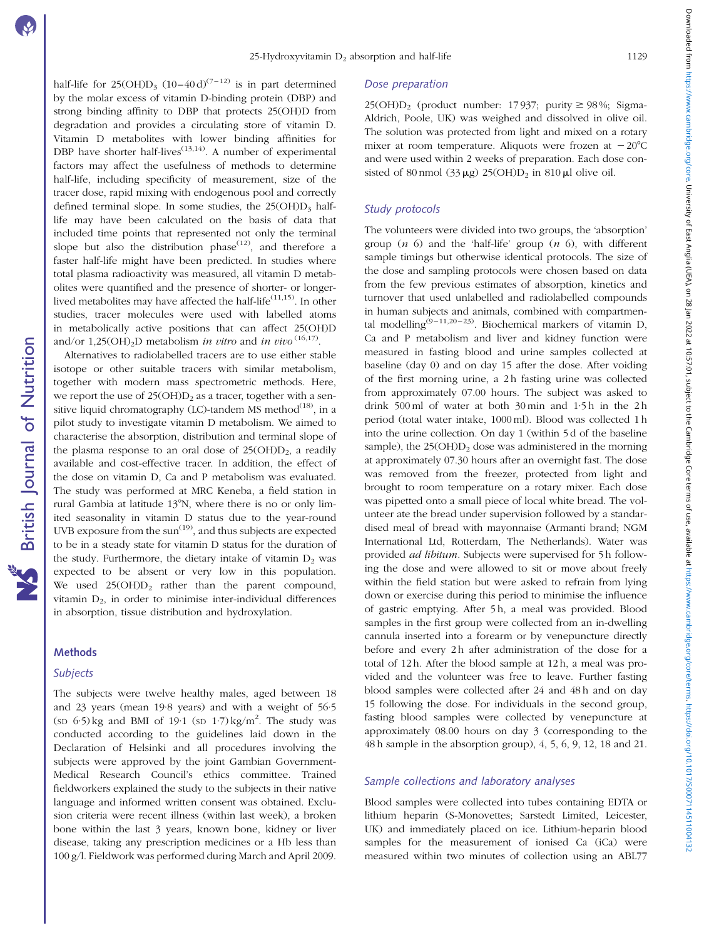Downloaded from https://www.cambridge.org/core. University of East Anglia (UEA), on 28 Jan 2022 at 10:57:01, subject to the Cambridge Core terms of use, available at https://www.cambridge.org/core/taris//doi.org/core/terms Downloaded from https://www.cambridge.org/rore. University of East Anglia (UEA), on 28 Jan 2022 at 10:57:01, subject to the Core terms of use, available at https://www.cambridge.org/core/101/910/01017/1500071145110041323 a

half-life for  $25(OH)D<sub>3</sub> (10–40 d)<sup>(7–12)</sup>$  is in part determined by the molar excess of vitamin D-binding protein (DBP) and strong binding affinity to DBP that protects 25(OH)D from degradation and provides a circulating store of vitamin D. Vitamin D metabolites with lower binding affinities for DBP have shorter half-lives<sup> $(13,14)$ </sup>. A number of experimental factors may affect the usefulness of methods to determine half-life, including specificity of measurement, size of the tracer dose, rapid mixing with endogenous pool and correctly defined terminal slope. In some studies, the  $25(OH)D<sub>3</sub>$  halflife may have been calculated on the basis of data that included time points that represented not only the terminal slope but also the distribution phase<sup> $(12)$ </sup>, and therefore a faster half-life might have been predicted. In studies where total plasma radioactivity was measured, all vitamin D metabolites were quantified and the presence of shorter- or longerlived metabolites may have affected the half-life<sup> $(11,15)$ </sup>. In other studies, tracer molecules were used with labelled atoms in metabolically active positions that can affect 25(OH)D and/or 1,25(OH)<sub>2</sub>D metabolism *in vitro* and *in vivo* <sup>(16,17)</sup>.

Alternatives to radiolabelled tracers are to use either stable isotope or other suitable tracers with similar metabolism, together with modern mass spectrometric methods. Here, we report the use of  $25(OH)D<sub>2</sub>$  as a tracer, together with a sensitive liquid chromatography (LC)-tandem MS method<sup>(18)</sup>, in a pilot study to investigate vitamin D metabolism. We aimed to characterise the absorption, distribution and terminal slope of the plasma response to an oral dose of  $25(OH)D<sub>2</sub>$ , a readily available and cost-effective tracer. In addition, the effect of the dose on vitamin D, Ca and P metabolism was evaluated. The study was performed at MRC Keneba, a field station in rural Gambia at latitude 13°N, where there is no or only limited seasonality in vitamin D status due to the year-round UVB exposure from the sun<sup>(19)</sup>, and thus subjects are expected to be in a steady state for vitamin D status for the duration of the study. Furthermore, the dietary intake of vitamin  $D_2$  was expected to be absent or very low in this population. We used  $25(OH)D_2$  rather than the parent compound, vitamin  $D_2$ , in order to minimise inter-individual differences in absorption, tissue distribution and hydroxylation.

# **Methods**

# **Subjects**

The subjects were twelve healthy males, aged between 18 and 23 years (mean 19·8 years) and with a weight of 56·5  $(\text{SD } 6.5) \text{ kg}$  and BMI of 19.1  $(\text{SD } 1.7) \text{ kg/m}^2$ . The study was conducted according to the guidelines laid down in the Declaration of Helsinki and all procedures involving the subjects were approved by the joint Gambian Government-Medical Research Council's ethics committee. Trained fieldworkers explained the study to the subjects in their native language and informed written consent was obtained. Exclusion criteria were recent illness (within last week), a broken bone within the last 3 years, known bone, kidney or liver disease, taking any prescription medicines or a Hb less than 100 g/l. Fieldwork was performed during March and April 2009.

## Dose preparation

25(OH)D<sub>2</sub> (product number: 17937; purity  $\geq$  98%; Sigma-Aldrich, Poole, UK) was weighed and dissolved in olive oil. The solution was protected from light and mixed on a rotary mixer at room temperature. Aliquots were frozen at  $-20^{\circ}$ C and were used within 2 weeks of preparation. Each dose consisted of 80 nmol (33  $\mu$ g) 25(OH) $D_2$  in 810  $\mu$ l olive oil.

# Study protocols

The volunteers were divided into two groups, the 'absorption' group  $(n\ 6)$  and the 'half-life' group  $(n\ 6)$ , with different sample timings but otherwise identical protocols. The size of the dose and sampling protocols were chosen based on data from the few previous estimates of absorption, kinetics and turnover that used unlabelled and radiolabelled compounds in human subjects and animals, combined with compartmental modelling<sup>(9-11,20-23)</sup>. Biochemical markers of vitamin D, Ca and P metabolism and liver and kidney function were measured in fasting blood and urine samples collected at baseline (day 0) and on day 15 after the dose. After voiding of the first morning urine, a 2h fasting urine was collected from approximately 07.00 hours. The subject was asked to drink 500 ml of water at both 30 min and 1·5 h in the 2 h period (total water intake, 1000 ml). Blood was collected 1 h into the urine collection. On day 1 (within 5 d of the baseline sample), the  $25(OH)D<sub>2</sub>$  dose was administered in the morning at approximately 07.30 hours after an overnight fast. The dose was removed from the freezer, protected from light and brought to room temperature on a rotary mixer. Each dose was pipetted onto a small piece of local white bread. The volunteer ate the bread under supervision followed by a standardised meal of bread with mayonnaise (Armanti brand; NGM International Ltd, Rotterdam, The Netherlands). Water was provided ad libitum. Subjects were supervised for 5 h following the dose and were allowed to sit or move about freely within the field station but were asked to refrain from lying down or exercise during this period to minimise the influence of gastric emptying. After 5 h, a meal was provided. Blood samples in the first group were collected from an in-dwelling cannula inserted into a forearm or by venepuncture directly before and every 2h after administration of the dose for a total of 12 h. After the blood sample at 12 h, a meal was provided and the volunteer was free to leave. Further fasting blood samples were collected after 24 and 48h and on day 15 following the dose. For individuals in the second group, fasting blood samples were collected by venepuncture at approximately 08.00 hours on day 3 (corresponding to the 48 h sample in the absorption group), 4, 5, 6, 9, 12, 18 and 21.

# Sample collections and laboratory analyses

Blood samples were collected into tubes containing EDTA or lithium heparin (S-Monovettes; Sarstedt Limited, Leicester, UK) and immediately placed on ice. Lithium-heparin blood samples for the measurement of ionised Ca (iCa) were measured within two minutes of collection using an ABL77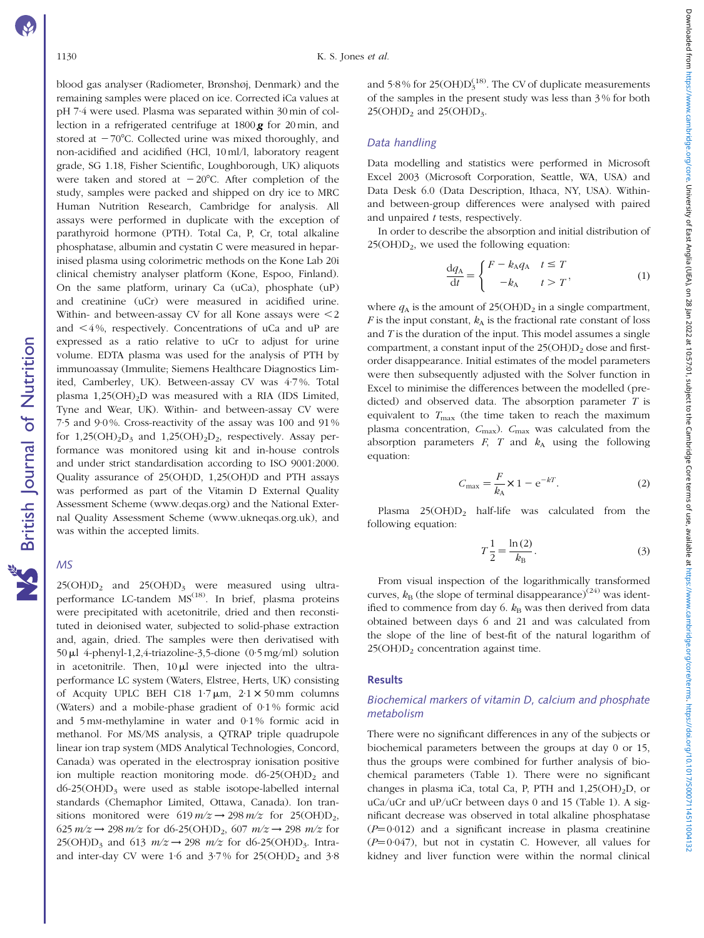Downloaded from https://www.cambridge.org/core. University of East Anglia (UEA), on 28 Jan 2022 at 10:57:01, subject to the Cambridge Core terms of usect to the Cambridge Core terms of usect on the Cambridge Core terms of Downloaded from https://www.cambridge.org/rore. University of East Anglia (UEA), on 28 Jan 2022 at 10:57:01, subject to the Core terms of use, available at https://www.cambridge.org/core/101/910/01017/1500071145110041323 a

# blood gas analyser (Radiometer, Brønshøj, Denmark) and the remaining samples were placed on ice. Corrected iCa values at pH 7·4 were used. Plasma was separated within 30 min of collection in a refrigerated centrifuge at 1800 *g* for 20 min, and stored at  $-70^{\circ}$ C. Collected urine was mixed thoroughly, and non-acidified and acidified (HCl, 10 ml/l, laboratory reagent grade, SG 1.18, Fisher Scientific, Loughborough, UK) aliquots were taken and stored at  $-20^{\circ}$ C. After completion of the study, samples were packed and shipped on dry ice to MRC Human Nutrition Research, Cambridge for analysis. All assays were performed in duplicate with the exception of parathyroid hormone (PTH). Total Ca, P, Cr, total alkaline phosphatase, albumin and cystatin C were measured in heparinised plasma using colorimetric methods on the Kone Lab 20i clinical chemistry analyser platform (Kone, Espoo, Finland). On the same platform, urinary Ca (uCa), phosphate (uP) and creatinine (uCr) were measured in acidified urine. Within- and between-assay CV for all Kone assays were  $\leq 2$ and  $\leq 4\%$ , respectively. Concentrations of uCa and uP are **NS** British Journal of Nutrition expressed as a ratio relative to uCr to adjust for urine British Journal of Nutrition volume. EDTA plasma was used for the analysis of PTH by immunoassay (Immulite; Siemens Healthcare Diagnostics Limited, Camberley, UK). Between-assay CV was 4·7 %. Total

plasma  $1,25(OH)_{2}D$  was measured with a RIA (IDS Limited, Tyne and Wear, UK). Within- and between-assay CV were 7·5 and 9·0 %. Cross-reactivity of the assay was 100 and 91 % for  $1,25(OH)_2D_3$  and  $1,25(OH)_2D_2$ , respectively. Assay performance was monitored using kit and in-house controls and under strict standardisation according to ISO 9001:2000. Quality assurance of 25(OH)D, 1,25(OH)D and PTH assays was performed as part of the Vitamin D External Quality Assessment Scheme (www.deqas.org) and the National External Quality Assessment Scheme (www.ukneqas.org.uk), and was within the accepted limits.

# MS

 $25(OH)D_2$  and  $25(OH)D_3$  were measured using ultraperformance LC-tandem MS<sup>(18)</sup>. In brief, plasma proteins were precipitated with acetonitrile, dried and then reconstituted in deionised water, subjected to solid-phase extraction and, again, dried. The samples were then derivatised with 50  $\mu$ l 4-phenyl-1,2,4-triazoline-3,5-dione (0·5 mg/ml) solution in acetonitrile. Then,  $10 \mu l$  were injected into the ultraperformance LC system (Waters, Elstree, Herts, UK) consisting of Acquity UPLC BEH C18  $1.7 \mu m$ ,  $2.1 \times 50 \text{ mm}$  columns (Waters) and a mobile-phase gradient of 0·1 % formic acid and 5 mM-methylamine in water and 0·1 % formic acid in methanol. For MS/MS analysis, a QTRAP triple quadrupole linear ion trap system (MDS Analytical Technologies, Concord, Canada) was operated in the electrospray ionisation positive ion multiple reaction monitoring mode.  $d6-25(OH)D<sub>2</sub>$  and  $d6-25(OH)D_3$  were used as stable isotope-labelled internal standards (Chemaphor Limited, Ottawa, Canada). Ion transitions monitored were  $619 \frac{m}{z} \rightarrow 298 \frac{m}{z}$  for  $25(OH)D_2$ , 625  $m/z \rightarrow 298 m/z$  for d6-25(OH)D<sub>2</sub>, 607  $m/z \rightarrow 298 m/z$  for 25(OH)D<sub>3</sub> and 613  $m/z \rightarrow 298$   $m/z$  for d6-25(OH)D<sub>3</sub>. Intraand inter-day CV were 1.6 and  $3.7\%$  for  $25(OH)D<sub>2</sub>$  and  $3.8$ 

and 5 $\cdot$ 8% for 25(OH) $D_3^{(18)}$ . The CV of duplicate measurements of the samples in the present study was less than 3 % for both  $25(OH)D<sub>2</sub>$  and  $25(OH)D<sub>3</sub>$ .

# Data handling

Data modelling and statistics were performed in Microsoft Excel 2003 (Microsoft Corporation, Seattle, WA, USA) and Data Desk 6.0 (Data Description, Ithaca, NY, USA). Withinand between-group differences were analysed with paired and unpaired t tests, respectively.

In order to describe the absorption and initial distribution of  $25(OH)D<sub>2</sub>$ , we used the following equation:

$$
\frac{\mathrm{d}q_{\mathbf{A}}}{\mathrm{d}t} = \begin{cases} F - k_{\mathbf{A}} q_{\mathbf{A}} & t \le T \\ -k_{\mathbf{A}} & t > T \end{cases} \tag{1}
$$

where  $q_A$  is the amount of 25(OH) $D_2$  in a single compartment, F is the input constant,  $k_A$  is the fractional rate constant of loss and  $T$  is the duration of the input. This model assumes a single compartment, a constant input of the  $25(OH)D<sub>2</sub>$  dose and firstorder disappearance. Initial estimates of the model parameters were then subsequently adjusted with the Solver function in Excel to minimise the differences between the modelled (predicted) and observed data. The absorption parameter  $T$  is equivalent to  $T_{\text{max}}$  (the time taken to reach the maximum plasma concentration,  $C_{\text{max}}$ ).  $C_{\text{max}}$  was calculated from the absorption parameters  $F$ ,  $T$  and  $k_A$  using the following equation:

$$
C_{\text{max}} = \frac{F}{k_{\text{A}}} \times 1 - e^{-kT}.
$$
 (2)

Plasma  $25(OH)D_2$  half-life was calculated from the following equation:

$$
T\frac{1}{2} = \frac{\ln(2)}{k_{\rm B}}.\tag{3}
$$

From visual inspection of the logarithmically transformed curves,  $k_{\rm B}$  (the slope of terminal disappearance)<sup>(24)</sup> was identified to commence from day 6.  $k_B$  was then derived from data obtained between days 6 and 21 and was calculated from the slope of the line of best-fit of the natural logarithm of  $25(OH)D<sub>2</sub>$  concentration against time.

## **Results**

# Biochemical markers of vitamin D, calcium and phosphate metabolism

There were no significant differences in any of the subjects or biochemical parameters between the groups at day 0 or 15, thus the groups were combined for further analysis of biochemical parameters [\(Table 1](#page-3-0)). There were no significant changes in plasma iCa, total Ca, P, PTH and  $1,25(OH)_2D$ , or uCa/uCr and uP/uCr between days 0 and 15 [\(Table 1](#page-3-0)). A significant decrease was observed in total alkaline phosphatase  $(P=0.012)$  and a significant increase in plasma creatinine  $(P=0.047)$ , but not in cystatin C. However, all values for kidney and liver function were within the normal clinical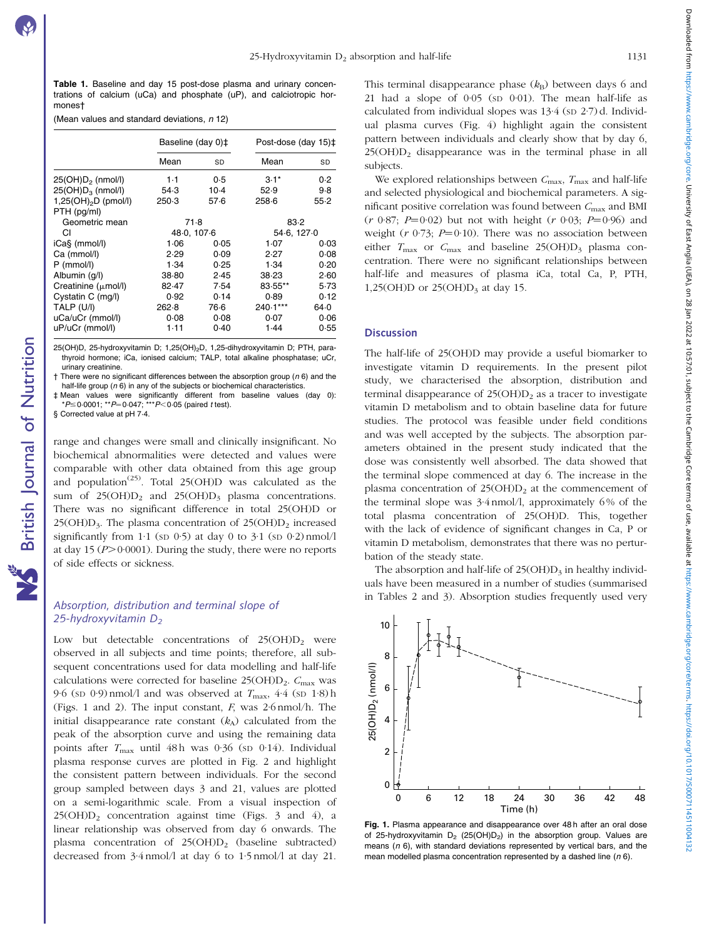<span id="page-3-0"></span>Table 1. Baseline and day 15 post-dose plasma and urinary concentrations of calcium (uCa) and phosphate (uP), and calciotropic hormones†

(Mean values and standard deviations,  $n$  12)

|                                    | Baseline (day 0)‡ |        | Post-dose (day 15)‡ |          |
|------------------------------------|-------------------|--------|---------------------|----------|
|                                    | Mean              | SD     | Mean                | SD       |
| $25(OH)D2$ (nmol/l)                | $1-1$             | 0.5    | $3.1*$              | 0.2      |
| $25(OH)D_3$ (nmol/l)               | 54.3              | $10-4$ | 52.9                | 9.8      |
| $1,25(OH)$ <sub>2</sub> D (pmol/l) | 250.3             | 57.6   | 258.6               | $55 - 2$ |
| PTH (pg/ml)                        |                   |        |                     |          |
| Geometric mean                     | 71.8              |        | 83.2                |          |
| СI                                 | 48.0, 107.6       |        | 54.6, 127.0         |          |
| iCa§ (mmol/l)                      | 1.06              | 0.05   | 1.07                | 0.03     |
| Ca (mmol/l)                        | 2.29              | 0.09   | 2.27                | 0.08     |
| $P$ (mmol/l)                       | 1.34              | 0.25   | 1.34                | 0.20     |
| Albumin (q/l)                      | 38-80             | 2.45   | 38.23               | 2.60     |
| Creatinine $(\mu \text{mol/l})$    | 82.47             | 7.54   | 83.55**             | 5.73     |
| Cystatin C (mg/l)                  | 0.92              | 0.14   | 0.89                | 0.12     |
| TALP (U/I)                         | 262-8             | 76.6   | 240.1***            | 64.0     |
| uCa/uCr (mmol/l)                   | 0.08              | 0.08   | 0.07                | 0.06     |
| uP/uCr (mmol/l)                    | 1.11              | 0.40   | 1.44                | 0.55     |

25(OH)D, 25-hydroxyvitamin D; 1,25(OH)<sub>2</sub>D, 1,25-dihydroxyvitamin D; PTH, parathyroid hormone; iCa, ionised calcium; TALP, total alkaline phosphatase; uCr, urinary creatinine.

 $\dagger$  There were no significant differences between the absorption group ( $n$  6) and the half-life group ( $n$  6) in any of the subjects or biochemical characteristics.

‡ Mean values were significantly different from baseline values (day 0):<br>\*P≤0·0001; \*\*P=0·047; \*\*\*P<0·05(paired t test).

§ Corrected value at pH 7·4.

British Journal of Nutrition

**NS** British Journal of Nutrition

range and changes were small and clinically insignificant. No biochemical abnormalities were detected and values were comparable with other data obtained from this age group and population<sup>(25)</sup>. Total 25(OH)D was calculated as the sum of  $25(OH)D_2$  and  $25(OH)D_3$  plasma concentrations. There was no significant difference in total 25(OH)D or  $25(OH)D<sub>3</sub>$ . The plasma concentration of  $25(OH)D<sub>2</sub>$  increased significantly from  $1.1$  (SD  $0.5$ ) at day 0 to  $3.1$  (SD  $0.2$ ) nmol/l at day 15 ( $P > 0.0001$ ). During the study, there were no reports of side effects or sickness.

# Absorption, distribution and terminal slope of 25-hydroxyvitamin  $D_2$

Low but detectable concentrations of  $25(OH)D<sub>2</sub>$  were observed in all subjects and time points; therefore, all subsequent concentrations used for data modelling and half-life calculations were corrected for baseline  $25(OH)D_2$ .  $C_{\text{max}}$  was 9.6 (SD 0.9) nmol/l and was observed at  $T_{\text{max}}$ , 4.4 (SD 1.8) h (Figs. 1 and 2). The input constant, F, was 2·6 nmol/h. The initial disappearance rate constant  $(k_A)$  calculated from the peak of the absorption curve and using the remaining data points after  $T_{\text{max}}$  until 48h was 0.36 (SD 0.14). Individual plasma response curves are plotted in [Fig. 2](#page-4-0) and highlight the consistent pattern between individuals. For the second group sampled between days 3 and 21, values are plotted on a semi-logarithmic scale. From a visual inspection of  $25(OH)D<sub>2</sub>$  concentration against time ([Figs. 3 and 4](#page-4-0)), a linear relationship was observed from day 6 onwards. The plasma concentration of  $25(OH)D<sub>2</sub>$  (baseline subtracted) decreased from 3·4 nmol/l at day 6 to 1·5 nmol/l at day 21.

This terminal disappearance phase  $(k_B)$  between days 6 and 21 had a slope of 0·05 (SD 0·01). The mean half-life as calculated from individual slopes was 13.4 (SD 2.7) d. Individual plasma curves [\(Fig. 4](#page-5-0)) highlight again the consistent pattern between individuals and clearly show that by day 6,  $25(OH)D<sub>2</sub>$  disappearance was in the terminal phase in all subjects.

We explored relationships between  $C_{\text{max}}$ ,  $T_{\text{max}}$  and half-life and selected physiological and biochemical parameters. A significant positive correlation was found between  $C_{\text{max}}$  and BMI  $(r \ 0.87; P=0.02)$  but not with height  $(r \ 0.03; P=0.96)$  and weight ( $r \frac{0.73}{r}$ ;  $P=0.10$ ). There was no association between either  $T_{\text{max}}$  or  $C_{\text{max}}$  and baseline 25(OH)D<sub>3</sub> plasma concentration. There were no significant relationships between half-life and measures of plasma iCa, total Ca, P, PTH, 1,25(OH)D or  $25(OH)D<sub>3</sub>$  at day 15.

## **Discussion**

4

6

25(OH)D2 (nmol/l)

25(OH)D<sub>2</sub> (nmol/l)

8

10

The half-life of 25(OH)D may provide a useful biomarker to investigate vitamin D requirements. In the present pilot study, we characterised the absorption, distribution and terminal disappearance of  $25(OH)D<sub>2</sub>$  as a tracer to investigate vitamin D metabolism and to obtain baseline data for future studies. The protocol was feasible under field conditions and was well accepted by the subjects. The absorption parameters obtained in the present study indicated that the dose was consistently well absorbed. The data showed that the terminal slope commenced at day 6. The increase in the plasma concentration of  $25(OH)D<sub>2</sub>$  at the commencement of the terminal slope was 3·4 nmol/l, approximately 6 % of the total plasma concentration of 25(OH)D. This, together with the lack of evidence of significant changes in Ca, P or vitamin D metabolism, demonstrates that there was no perturbation of the steady state.

The absorption and half-life of  $25(OH)D<sub>3</sub>$  in healthy individuals have been measured in a number of studies (summarised in [Tables 2 and 3](#page-5-0)). Absorption studies frequently used very

0 2 0 6 12 18 24 30 36 42 48 Time (h) Fig. 1. Plasma appearance and disappearance over 48h after an oral dose

of 25-hydroxyvitamin  $D_2$  (25(OH) $D_2$ ) in the absorption group. Values are means ( $n$  6), with standard deviations represented by vertical bars, and the mean modelled plasma concentration represented by a dashed line  $(n 6)$ .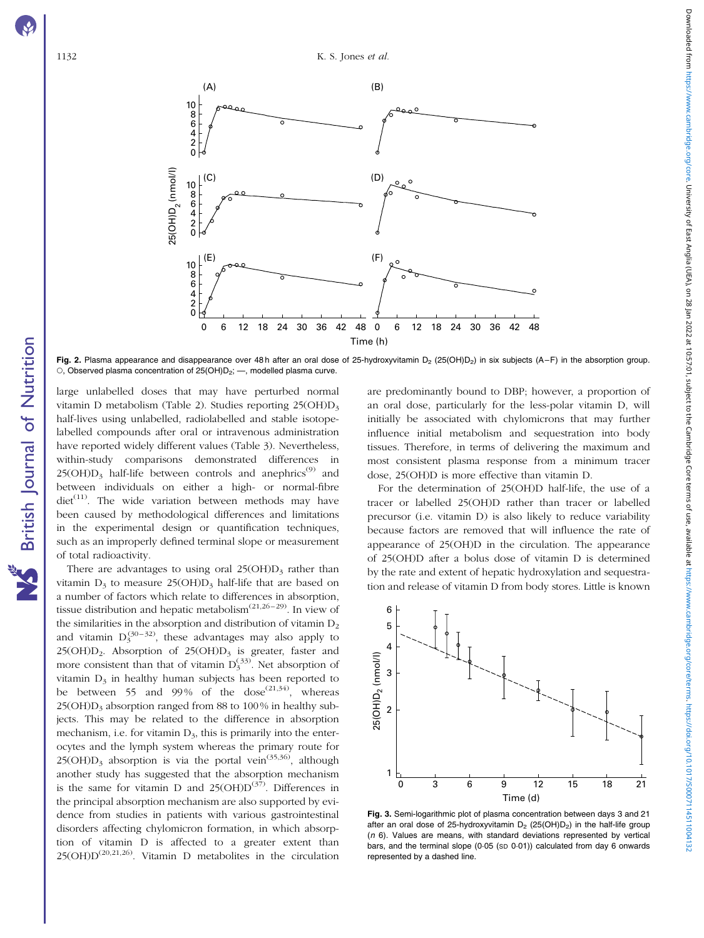British Journal of Nutrition

NS British Journal of Nutrition

<span id="page-4-0"></span>

Fig. 2. Plasma appearance and disappearance over 48 h after an oral dose of 25-hydroxyvitamin  $D_2$  (25(OH) $D_2$ ) in six subjects (A–F) in the absorption group.  $\circ$ , Observed plasma concentration of 25(OH)D<sub>2</sub>; -, modelled plasma curve.

large unlabelled doses that may have perturbed normal vitamin D metabolism [\(Table 2](#page-5-0)). Studies reporting 25(OH)D3 half-lives using unlabelled, radiolabelled and stable isotopelabelled compounds after oral or intravenous administration have reported widely different values ([Table 3](#page-6-0)). Nevertheless, within-study comparisons demonstrated differences in  $25(OH)D_3$  half-life between controls and anephrics<sup>(9)</sup> and between individuals on either a high- or normal-fibre  $\text{diet}^{(11)}$ . The wide variation between methods may have been caused by methodological differences and limitations in the experimental design or quantification techniques, such as an improperly defined terminal slope or measurement of total radioactivity.

There are advantages to using oral  $25(OH)D<sub>3</sub>$  rather than vitamin  $D_3$  to measure 25(OH) $D_3$  half-life that are based on a number of factors which relate to differences in absorption, tissue distribution and hepatic metabolism<sup> $(21,26-29)$ </sup>. In view of the similarities in the absorption and distribution of vitamin  $D_2$ and vitamin  $D_3^{(30-32)}$ , these advantages may also apply to 25(OH) $D_2$ . Absorption of 25(OH) $D_3$  is greater, faster and more consistent than that of vitamin  $D_3^{(33)}$ . Net absorption of vitamin  $D_3$  in healthy human subjects has been reported to be between 55 and 99% of the dose<sup> $(21,34)$ </sup>, whereas  $25(OH)D<sub>3</sub>$  absorption ranged from 88 to 100% in healthy subjects. This may be related to the difference in absorption mechanism, i.e. for vitamin  $D_3$ , this is primarily into the enterocytes and the lymph system whereas the primary route for  $25(OH)D<sub>3</sub>$  absorption is via the portal vein<sup> $(35,36)$ </sup>, although another study has suggested that the absorption mechanism is the same for vitamin D and  $25(OHD<sup>(37)</sup>)$ . Differences in the principal absorption mechanism are also supported by evidence from studies in patients with various gastrointestinal disorders affecting chylomicron formation, in which absorption of vitamin D is affected to a greater extent than  $25(OH)D^{(20,21,26)}$ . Vitamin D metabolites in the circulation

are predominantly bound to DBP; however, a proportion of an oral dose, particularly for the less-polar vitamin D, will initially be associated with chylomicrons that may further influence initial metabolism and sequestration into body tissues. Therefore, in terms of delivering the maximum and most consistent plasma response from a minimum tracer dose, 25(OH)D is more effective than vitamin D.

For the determination of 25(OH)D half-life, the use of a tracer or labelled 25(OH)D rather than tracer or labelled precursor (i.e. vitamin D) is also likely to reduce variability because factors are removed that will influence the rate of appearance of 25(OH)D in the circulation. The appearance of 25(OH)D after a bolus dose of vitamin D is determined by the rate and extent of hepatic hydroxylation and sequestration and release of vitamin D from body stores. Little is known



Fig. 3. Semi-logarithmic plot of plasma concentration between days 3 and 21 after an oral dose of 25-hydroxyvitamin  $D_2$  (25(OH) $D_2$ ) in the half-life group  $(n 6)$ . Values are means, with standard deviations represented by vertical bars, and the terminal slope (0.05 (SD 0.01)) calculated from day 6 onwards represented by a dashed line.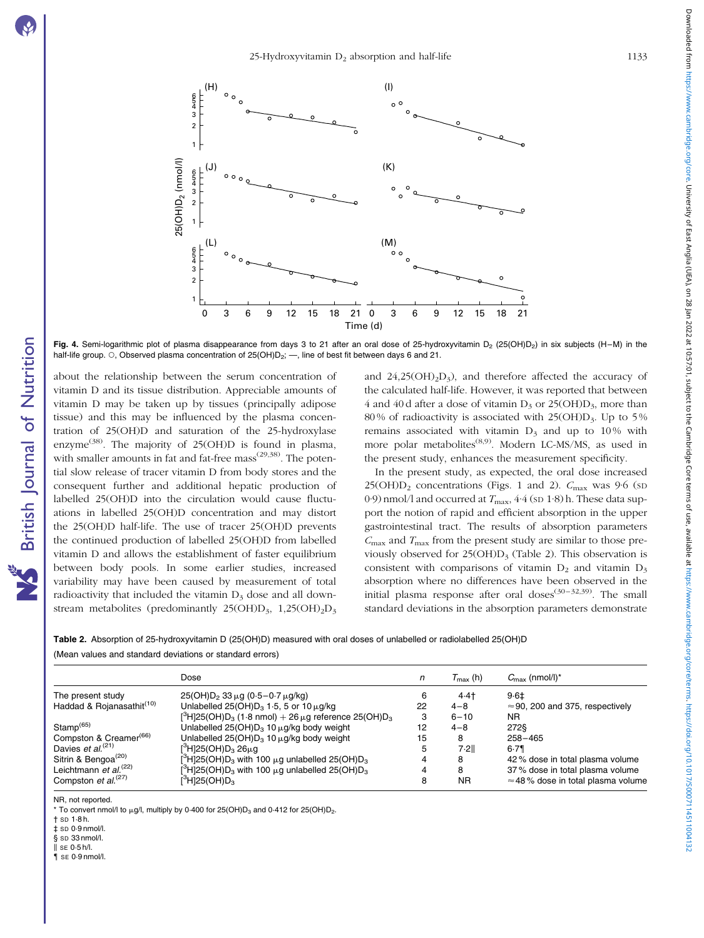British Journal of Nutrition

NS British Journal of Nutrition

Downloaded from https://www.cambridge.org/core. University of East Angler (OF 28 Jan 2022 at 10:57:01, subject to the Cambridge Core terms of use, available at https://www.cambridge.org/core/terms. https://www.cambridge.or Downloaded from https://www.cambridge.org/rore. University of East Anglia (UEA), on 28 Jan 2022 at 10:57:01, subject to the Core terms of use, available at https://www.cambridge.org/core/101/910/01017/1500071145110041323 a

<span id="page-5-0"></span>

Fig. 4. Semi-logarithmic plot of plasma disappearance from days 3 to 21 after an oral dose of 25-hydroxyvitamin D<sub>2</sub> (25(OH)D<sub>2</sub>) in six subjects (H–M) in the half-life group. O, Observed plasma concentration of 25(OH)D<sub>2</sub>; —, line of best fit between days 6 and 21.

about the relationship between the serum concentration of vitamin D and its tissue distribution. Appreciable amounts of vitamin D may be taken up by tissues (principally adipose tissue) and this may be influenced by the plasma concentration of 25(OH)D and saturation of the 25-hydroxylase enzyme<sup>(38)</sup>. The majority of  $25(OH)D$  is found in plasma, with smaller amounts in fat and fat-free  $mass<sup>(29,38)</sup>$ . The potential slow release of tracer vitamin D from body stores and the consequent further and additional hepatic production of labelled 25(OH)D into the circulation would cause fluctuations in labelled 25(OH)D concentration and may distort the 25(OH)D half-life. The use of tracer 25(OH)D prevents the continued production of labelled 25(OH)D from labelled vitamin D and allows the establishment of faster equilibrium between body pools. In some earlier studies, increased variability may have been caused by measurement of total radioactivity that included the vitamin  $D_3$  dose and all downstream metabolites (predominantly  $25(OH)D_3$ ,  $1,25(OH)_2D_3$  and  $24,25(OH)_2D_3$ ), and therefore affected the accuracy of the calculated half-life. However, it was reported that between 4 and 40 d after a dose of vitamin  $D_3$  or 25(OH) $D_3$ , more than 80% of radioactivity is associated with  $25(OH)D_3$ . Up to 5% remains associated with vitamin  $D_3$  and up to 10% with more polar metabolites<sup>(8,9)</sup>. Modern LC-MS/MS, as used in the present study, enhances the measurement specificity.

In the present study, as expected, the oral dose increased  $25(OH)D<sub>2</sub>$  concentrations ([Figs. 1 and 2](#page-3-0)).  $C<sub>max</sub>$  was 9.6 (sp 0·9) nmol/l and occurred at  $T_{\text{max}}$ , 4·4 (sp 1·8) h. These data support the notion of rapid and efficient absorption in the upper gastrointestinal tract. The results of absorption parameters  $C_{\text{max}}$  and  $T_{\text{max}}$  from the present study are similar to those previously observed for  $25(OH)D_3$  (Table 2). This observation is consistent with comparisons of vitamin  $D_2$  and vitamin  $D_3$ absorption where no differences have been observed in the initial plasma response after oral doses<sup>(30–32,39)</sup>. The small standard deviations in the absorption parameters demonstrate

| Table 2. Absorption of 25-hydroxyvitamin D (25(OH)D) measured with oral doses of unlabelled or radiolabelled 25(OH)D |  |
|----------------------------------------------------------------------------------------------------------------------|--|
| (Mean values and standard deviations or standard errors)                                                             |  |

|                                       | Dose                                                                                                  | n  | $T_{\sf max}$ (h) | $C_{\text{max}}$ (nmol/l) <sup>*</sup>    |
|---------------------------------------|-------------------------------------------------------------------------------------------------------|----|-------------------|-------------------------------------------|
| The present study                     | $25(OH)D_2$ 33 $\mu$ g (0.5–0.7 $\mu$ g/kg)                                                           | 6  | 4.4               | 9.61                                      |
| Haddad & Rojanasathit <sup>(10)</sup> | Unlabelled 25(OH) $D_3$ 1.5, 5 or 10 $\mu$ g/kg                                                       | 22 | $4 - 8$           | $\approx$ 90, 200 and 375, respectively   |
|                                       | $[{}^{3}H]25(OH)D_3$ (1.8 nmol) + 26 $\mu$ g reference 25(OH)D <sub>3</sub>                           | 3  | $6 - 10$          | ΝR                                        |
| $Stamp^{(65)}$                        | Unlabelled $25(OH)D_3$ 10 $\mu$ g/kg body weight                                                      | 12 | $4 - 8$           | 2728                                      |
| Compston & Creamer <sup>(66)</sup>    | Unlabelled $25(OH)D_3$ 10 $\mu$ g/kg body weight                                                      | 15 | 8                 | $258 - 465$                               |
| Davies et $al^{(21)}$                 | $[^3$ H <sub>125</sub> (OH)D <sub>3</sub> 26µg                                                        | 5  | 7.2II             | 6.79                                      |
| Sitrin & Bengoa <sup>(20)</sup>       | $\binom{3}{1}$ 25(OH)D <sub>3</sub> with 100 $\mu$ g unlabelled 25(OH)D <sub>3</sub>                  |    | 8                 | 42% dose in total plasma volume           |
| Leichtmann et $al^{(22)}$             | $[$ <sup>3</sup> H <sub>1</sub> 25(OH)D <sub>3</sub> with 100 $\mu$ g unlabelled 25(OH)D <sub>3</sub> |    | 8                 | 37% dose in total plasma volume           |
| Compston et $al^{(27)}$               | $\beta$ H]25(OH)D                                                                                     | 8  | <b>NR</b>         | $\approx$ 48% dose in total plasma volume |

NR, not reported.

To convert nmol/l to  $\mu$ g/l, multiply by 0·400 for 25(OH)D<sub>3</sub> and 0·412 for 25(OH)D<sub>2</sub>.

† SD 1·8 h.

 $t \sin 0.9$  nmol/l.  $\overline{\$$  sp 33 nmol/l.

 $\parallel$  SE 0.5 h/l.

 $\frac{1}{2}$  se 0.9 nmol/l.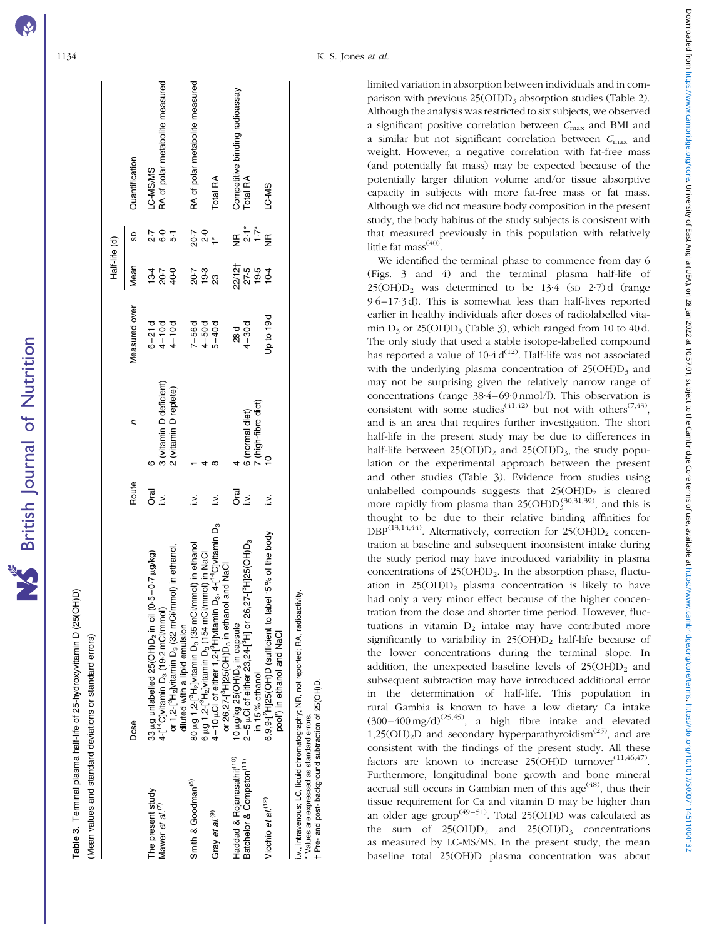| ៑              |
|----------------|
| <b>LEUWIII</b> |
| $\frac{1}{2}$  |
|                |

 $\subseteq$ 

Table 3. Terminal plasma half-life of 25-hydroxyvitamin D (25(OH)D) Terminal plasma half-life of 25-hydroxyvitamin D (25(OH)D) Mean values and standard deviations or standard errors) (Mean values and standard deviations or standard errors)

<span id="page-6-0"></span>

|                                       |                                                                                                             |                  |                         |                          | Half-life (d)              |                                                                                                                                                                                                      |                                 |
|---------------------------------------|-------------------------------------------------------------------------------------------------------------|------------------|-------------------------|--------------------------|----------------------------|------------------------------------------------------------------------------------------------------------------------------------------------------------------------------------------------------|---------------------------------|
|                                       | Dose                                                                                                        | Route            | ς                       | Measured over            | Mean                       | G                                                                                                                                                                                                    | Quantification                  |
| The present study                     | 33 µg unlabelled 25(OH)D <sub>2</sub> in oil (0.5-0.7 µg/kg)                                                | ট<br>০           |                         | $6 - 21d$                |                            | 2.7                                                                                                                                                                                                  | LC-MS/MS                        |
| Mawer et al. <sup>(7)</sup>           | 4-T <sup>14</sup> C]vitamin D <sub>3</sub> (19-2 mCi/mmol)                                                  | $\geq$           | 3 (vitamin D deficient) | $4 - 10d$                | 10<br>100<br>100           | 6.5<br>6.9                                                                                                                                                                                           | RA of polar metabolite measured |
|                                       | or 1,2-[ <sup>9</sup> H <sub>2</sub> ]vitamin D <sub>3</sub> (32 mCi/mmol) in ethanol,                      |                  | 2 (vitamin D replete)   | $4 - 10d$                |                            |                                                                                                                                                                                                      |                                 |
|                                       | diluted with a lipid emulsion                                                                               |                  |                         |                          |                            |                                                                                                                                                                                                      |                                 |
| Smith & Goodman <sup>(8)</sup>        | 80 µg 1,2-[ <sup>3</sup> H <sub>2</sub> ]vitamin D <sub>3</sub> (35 mCi/mmol) in ethanol                    | ≳                |                         | $7 - 56d$                |                            |                                                                                                                                                                                                      | RA of polar metabolite measured |
|                                       | $6 \mu g$ 1,2-[ $4H_2$ ]vitamin D <sub>3</sub> (154 mCi/mmol) in NaCl                                       |                  |                         | $4 - 50 d$<br>$5 - 40 d$ | 7. 9<br>20 - 20<br>20 - 20 | 20<br>2011<br>2012                                                                                                                                                                                   |                                 |
| Gray et al. <sup>(9)</sup>            | 4-10 µCi of either 1,2-[ <sup>9</sup> H]vitamin D <sub>3</sub> , 4-[ <sup>14</sup> C]vitamin D <sub>3</sub> | Σ                |                         |                          |                            |                                                                                                                                                                                                      | Total RA                        |
|                                       | or 26,27-[ <sup>9</sup> H]25(OH)D <sub>3</sub> in ethanol and NaCl                                          |                  |                         |                          |                            |                                                                                                                                                                                                      |                                 |
| Haddad & Rojanasathit <sup>(10)</sup> | 10 µg/kg 25(OH)D <sub>3</sub> in capsule                                                                    | े<br>व           |                         | 28 d                     |                            |                                                                                                                                                                                                      | Competitive binding radioassay  |
| Batchelor & Compston <sup>(11)</sup>  | 2-5 µCi of either 23,24-[ <sup>9</sup> H] or 26,27-[ <sup>9</sup> H]25(OH)D <sub>3</sub>                    | $\sum_{i=1}^{n}$ | 6 (normal diet)         | $4 - 30d$                | 22/121<br>27.5<br>19.5     | $\mathop{\mathsf{E}}\limits_{\mathop{\mathsf{Q}}} \mathop{\mathsf{L}}\limits_{\mathop{\mathsf{Q}}} \mathop{\mathsf{L}}\limits_{\mathop{\mathsf{L}}}\mathop{\mathsf{E}}\limits_{\mathop{\mathsf{P}}}$ | <b>Total RA</b>                 |
|                                       | in 15% ethanol                                                                                              |                  | / (high-fibre diet)     |                          |                            |                                                                                                                                                                                                      |                                 |
| Vicchio et al. <sup>(12)</sup>        | 6.9.9-[ <sup>2</sup> H 25(OH)D (sufficient to label '5% of the body<br>pool') in ethanol and NaCl           | ≧                |                         | pto 19d                  | 10.4                       |                                                                                                                                                                                                      | LC-MS                           |
|                                       | i.v., intravenous; LC, liquid chromatography; NR, not reported; RA, radioactivity                           |                  |                         |                          |                            |                                                                                                                                                                                                      |                                 |

\* Values are expressed as standard errors. † Pre- and post- background subtraction of 25(OH)D.

- Pre- and post- background subtraction of 25(OH)D. 

limited variation in absorption between individuals and in comparison with previous  $25(OHD)_3$  absorption studies ([Table 2](#page-5-0)). Although the analysis was restricted to six subjects, we observed a significant positive correlation between  $C_{\text{max}}$  and BMI and a similar but not significant correlation between  $C_{\text{max}}$  and weight. However, a negative correlation with fat-free mass (and potentially fat mass) may be expected because of the potentially larger dilution volume and/or tissue absorptive capacity in subjects with more fat-free mass or fat mass. Although we did not measure body composition in the present study, the body habitus of the study subjects is consistent with that measured previously in this population with relatively little fat mass<sup>(40)</sup>.

We identified the terminal phase to commence from day 6 [\(Figs. 3 and 4](#page-4-0)) and the terminal plasma half-life of  $25(OH)D<sub>2</sub>$  was determined to be  $13.4$  (sp  $2.7$ ) d (range 9·6–17·3 d). This is somewhat less than half-lives reported earlier in healthy individuals after doses of radiolabelled vitamin  $D_3$  or 25(OH) $D_3$  (Table 3), which ranged from 10 to 40 d. The only study that used a stable isotope-labelled compound has reported a value of  $10.4 d^{(12)}$ . Half-life was not associated with the underlying plasma concentration of  $25(OH)D<sub>3</sub>$  and may not be surprising given the relatively narrow range of concentrations (range 38·4–69·0 nmol/l). This observation is consistent with some studies<sup>(41,42)</sup> but not with others<sup>(7,43)</sup>, and is an area that requires further investigation. The short half-life in the present study may be due to differences in half-life between  $25(OH)D_2$  and  $25(OH)D_3$ , the study population or the experimental approach between the present and other studies (Table 3). Evidence from studies using unlabelled compounds suggests that  $25(OH)D<sub>2</sub>$  is cleared more rapidly from plasma than  $25(OHD_3^{(30,31,39)})$ , and this is thought to be due to their relative binding affinities for  $DBP^{(13,14,44)}$ . Alternatively, correction for  $25(OHD_2)$  concentration at baseline and subsequent inconsistent intake during the study period may have introduced variability in plasma concentrations of  $25(OH)D<sub>2</sub>$ . In the absorption phase, fluctuation in  $25(OH)D<sub>2</sub>$  plasma concentration is likely to have had only a very minor effect because of the higher concentration from the dose and shorter time period. However, fluctuations in vitamin  $D_2$  intake may have contributed more significantly to variability in  $25(OH)D<sub>2</sub>$  half-life because of the lower concentrations during the terminal slope. In addition, the unexpected baseline levels of  $25(OH)D<sub>2</sub>$  and subsequent subtraction may have introduced additional error in the determination of half-life. This population in rural Gambia is known to have a low dietary Ca intake  $(300-400 \text{ mg/d})^{(25,45)}$ , a high fibre intake and elevated 1,25(OH)<sub>2</sub>D and secondary hyperparathyroidism<sup>(25)</sup>, and are consistent with the findings of the present study. All these factors are known to increase  $25(OH)D$  turnover<sup>(11,46,47)</sup>. Furthermore, longitudinal bone growth and bone mineral accrual still occurs in Gambian men of this age<sup> $(48)$ </sup>, thus their tissue requirement for Ca and vitamin D may be higher than an older age group<sup>(49–51)</sup>. Total 25(OH)D was calculated as the sum of  $25(OH)D_2$  and  $25(OH)D_3$  concentrations as measured by LC-MS/MS. In the present study, the mean baseline total 25(OH)D plasma concentration was about Downloaded from https://www.cambridge.org/core. University of East Anglia (UEA), on 28 Jan 2022 at 10:57:01, subject to the Cambridge Core terms of use, available at https://www.cambridge.org/core/terms.index.index.index.i Downloaded from https://www.cambridge.org/rore. University of East Anglia (UEA), on 28 Jan 2022 at 10:57:01, subject to the Core terms of use, available at https://www.cambridge.org/core/101/910/01017/1500071145110041323 a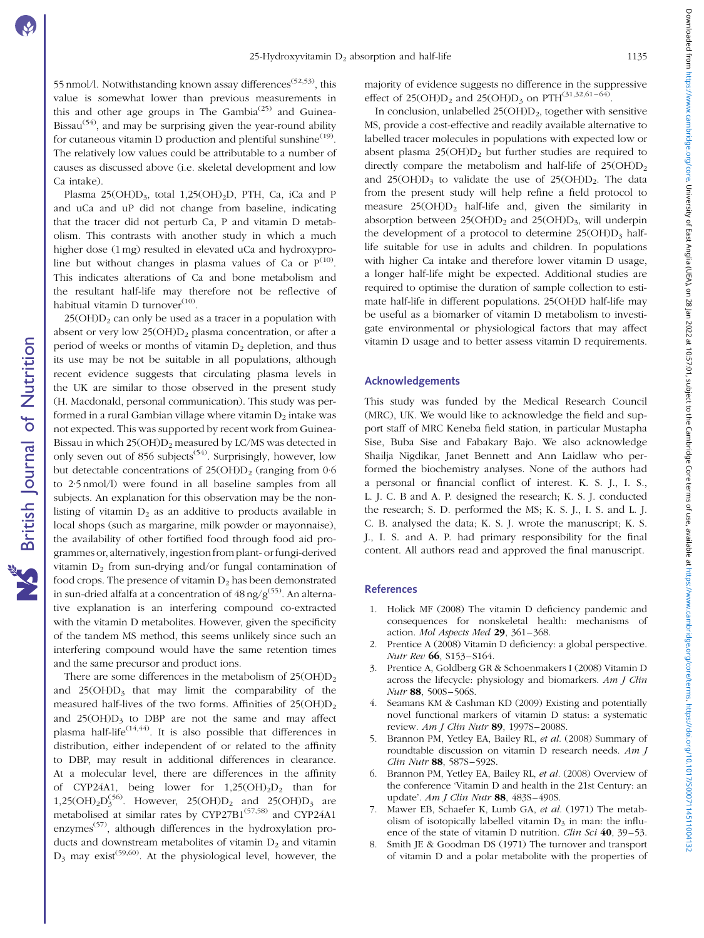55 nmol/l. Notwithstanding known assay differences<sup> $(52,53)$ </sup>, this value is somewhat lower than previous measurements in this and other age groups in The Gambia<sup>(25)</sup> and Guinea-Bissau<sup> $(54)$ </sup>, and may be surprising given the year-round ability for cutaneous vitamin D production and plentiful sunshine $^{(19)}$ . The relatively low values could be attributable to a number of causes as discussed above (i.e. skeletal development and low Ca intake).

Plasma 25(OH)D<sub>3</sub>, total 1,25(OH)<sub>2</sub>D, PTH, Ca, iCa and P and uCa and uP did not change from baseline, indicating that the tracer did not perturb Ca, P and vitamin D metabolism. This contrasts with another study in which a much higher dose (1 mg) resulted in elevated uCa and hydroxyproline but without changes in plasma values of Ca or  $P^{(10)}$ . This indicates alterations of Ca and bone metabolism and the resultant half-life may therefore not be reflective of habitual vitamin D turnover $^{(10)}$ .

 $25(OH)D<sub>2</sub>$  can only be used as a tracer in a population with absent or very low  $25(OHD)_2$  plasma concentration, or after a period of weeks or months of vitamin  $D_2$  depletion, and thus its use may be not be suitable in all populations, although recent evidence suggests that circulating plasma levels in the UK are similar to those observed in the present study (H. Macdonald, personal communication). This study was performed in a rural Gambian village where vitamin  $D_2$  intake was not expected. This was supported by recent work from Guinea-Bissau in which  $25(OH)D<sub>2</sub>$  measured by LC/MS was detected in only seven out of 856 subjects<sup> $(54)$ </sup>. Surprisingly, however, low but detectable concentrations of  $25(OHD)_2$  (ranging from 0.6) to 2·5 nmol/l) were found in all baseline samples from all subjects. An explanation for this observation may be the nonlisting of vitamin  $D_2$  as an additive to products available in local shops (such as margarine, milk powder or mayonnaise), the availability of other fortified food through food aid programmes or, alternatively, ingestion from plant- or fungi-derived vitamin  $D_2$  from sun-drying and/or fungal contamination of food crops. The presence of vitamin  $D_2$  has been demonstrated in sun-dried alfalfa at a concentration of  $48 \text{ ng/g}^{(55)}$ . An alternative explanation is an interfering compound co-extracted with the vitamin D metabolites. However, given the specificity of the tandem MS method, this seems unlikely since such an interfering compound would have the same retention times and the same precursor and product ions.

British Journal of Nutrition

**NS** British Journal of Nutrition

There are some differences in the metabolism of  $25(OH)D<sub>2</sub>$ and  $25(OH)D<sub>3</sub>$  that may limit the comparability of the measured half-lives of the two forms. Affinities of  $25(OHD)_{2}$ and  $25(OH)D_3$  to DBP are not the same and may affect plasma half-life<sup> $(14,44)$ </sup>. It is also possible that differences in distribution, either independent of or related to the affinity to DBP, may result in additional differences in clearance. At a molecular level, there are differences in the affinity of CYP24A1, being lower for  $1,25(OH)_{2}D_{2}$  than for 1,25(OH)<sub>2</sub>D<sup>(56)</sup>. However, 25(OH)D<sub>2</sub> and 25(OH)D<sub>3</sub> are metabolised at similar rates by CYP27B1<sup>(57,58)</sup> and CYP24A1 enzymes<sup> $(57)$ </sup>, although differences in the hydroxylation products and downstream metabolites of vitamin  $D_2$  and vitamin  $D_3$  may exist<sup>(59,60)</sup>. At the physiological level, however, the majority of evidence suggests no difference in the suppressive effect of 25(OH) $D_2$  and 25(OH) $D_3$  on PTH<sup>(31,32,61–64)</sup>.

In conclusion, unlabelled  $25(OH)D<sub>2</sub>$ , together with sensitive MS, provide a cost-effective and readily available alternative to labelled tracer molecules in populations with expected low or absent plasma  $25(OH)D_2$  but further studies are required to directly compare the metabolism and half-life of  $25(OH)D<sub>2</sub>$ and  $25(OH)D_3$  to validate the use of  $25(OH)D_2$ . The data from the present study will help refine a field protocol to measure  $25(OH)D<sub>2</sub>$  half-life and, given the similarity in absorption between  $25(OH)D_2$  and  $25(OH)D_3$ , will underpin the development of a protocol to determine  $25(OH)D<sub>3</sub>$  halflife suitable for use in adults and children. In populations with higher Ca intake and therefore lower vitamin D usage, a longer half-life might be expected. Additional studies are required to optimise the duration of sample collection to estimate half-life in different populations. 25(OH)D half-life may be useful as a biomarker of vitamin D metabolism to investigate environmental or physiological factors that may affect vitamin D usage and to better assess vitamin D requirements.

# Acknowledgements

This study was funded by the Medical Research Council (MRC), UK. We would like to acknowledge the field and support staff of MRC Keneba field station, in particular Mustapha Sise, Buba Sise and Fabakary Bajo. We also acknowledge Shailja Nigdikar, Janet Bennett and Ann Laidlaw who performed the biochemistry analyses. None of the authors had a personal or financial conflict of interest. K. S. J., I. S., L. J. C. B and A. P. designed the research; K. S. J. conducted the research; S. D. performed the MS; K. S. J., I. S. and L. J. C. B. analysed the data; K. S. J. wrote the manuscript; K. S. J., I. S. and A. P. had primary responsibility for the final content. All authors read and approved the final manuscript.

# References

- 1. Holick MF (2008) The vitamin D deficiency pandemic and consequences for nonskeletal health: mechanisms of action. Mol Aspects Med 29, 361-368.
- 2. Prentice A (2008) Vitamin D deficiency: a global perspective. Nutr Rev 66, S153–S164.
- 3. Prentice A, Goldberg GR & Schoenmakers I (2008) Vitamin D across the lifecycle: physiology and biomarkers. Am J Clin Nutr 88, 500S–506S.
- 4. Seamans KM & Cashman KD (2009) Existing and potentially novel functional markers of vitamin D status: a systematic review. Am J Clin Nutr 89, 1997S-2008S.
- 5. Brannon PM, Yetley EA, Bailey RL, et al. (2008) Summary of roundtable discussion on vitamin D research needs. Am J Clin Nutr 88, 587S–592S.
- 6. Brannon PM, Yetley EA, Bailey RL, et al. (2008) Overview of the conference 'Vitamin D and health in the 21st Century: an update'. Am *J Clin Nutr* 88, 483S-490S.
- 7. Mawer EB, Schaefer K, Lumb GA, et al. (1971) The metabolism of isotopically labelled vitamin  $D_3$  in man: the influence of the state of vitamin D nutrition. Clin Sci 40, 39-53.
- 8. Smith JE & Goodman DS (1971) The turnover and transport of vitamin D and a polar metabolite with the properties of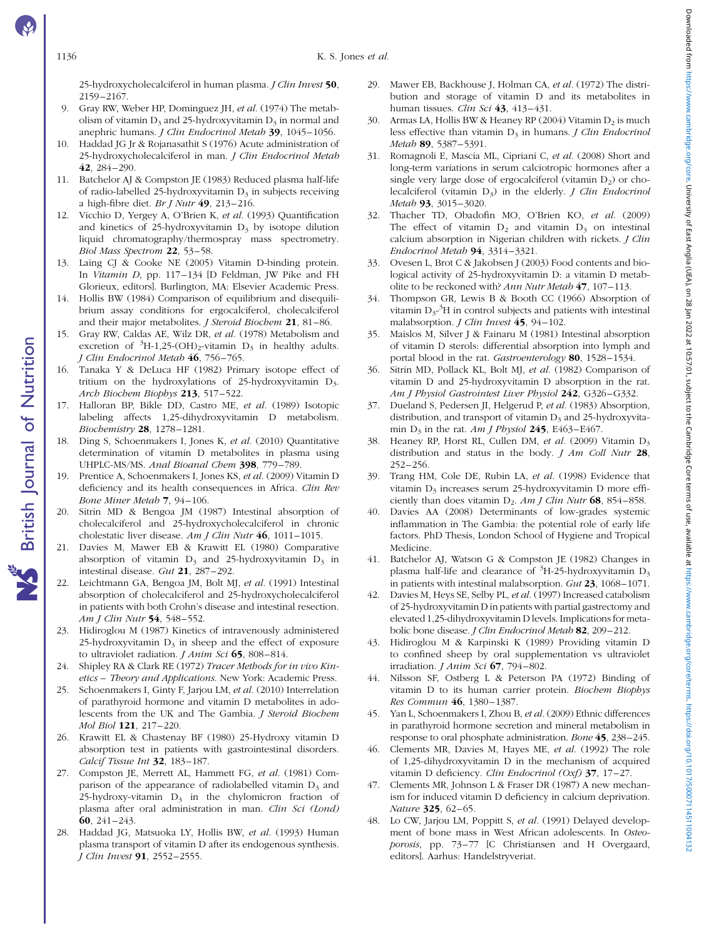25-hydroxycholecalciferol in human plasma. *I Clin Invest* 50, 2159–2167.

- 9. Gray RW, Weber HP, Dominguez JH, et al. (1974) The metabolism of vitamin  $D_3$  and 25-hydroxyvitamin  $D_3$  in normal and anephric humans. J Clin Endocrinol Metab 39, 1045–1056.
- 10. Haddad JG Jr & Rojanasathit S (1976) Acute administration of 25-hydroxycholecalciferol in man. J Clin Endocrinol Metab 42, 284–290.
- 11. Batchelor AJ & Compston JE (1983) Reduced plasma half-life of radio-labelled 25-hydroxyvitamin  $D_3$  in subjects receiving a high-fibre diet. Br I Nutr  $49.213-216$ .
- 12. Vicchio D, Yergey A, O'Brien K, et al. (1993) Quantification and kinetics of 25-hydroxyvitamin  $D_3$  by isotope dilution liquid chromatography/thermospray mass spectrometry. Biol Mass Spectrom 22, 53–58.
- 13. Laing CJ & Cooke NE (2005) Vitamin D-binding protein. In Vitamin D, pp. 117–134 [D Feldman, JW Pike and FH Glorieux, editors]. Burlington, MA: Elsevier Academic Press.
- 14. Hollis BW (1984) Comparison of equilibrium and disequilibrium assay conditions for ergocalciferol, cholecalciferol and their major metabolites. *I Steroid Biochem* 21, 81-86.
- 15. Gray RW, Caldas AE, Wilz DR, et al. (1978) Metabolism and excretion of  ${}^{3}H-1,25$ -(OH)<sub>2</sub>-vitamin D<sub>3</sub> in healthy adults. J Clin Endocrinol Metab 46, 756–765.
- 16. Tanaka Y & DeLuca HF (1982) Primary isotope effect of tritium on the hydroxylations of 25-hydroxyvitamin  $D_3$ . Arch Biochem Biophys 213, 517–522.
- 17. Halloran BP, Bikle DD, Castro ME, et al. (1989) Isotopic labeling affects 1,25-dihydroxyvitamin D metabolism. Biochemistry 28, 1278–1281.
- 18. Ding S, Schoenmakers I, Jones K, et al. (2010) Quantitative determination of vitamin D metabolites in plasma using UHPLC-MS/MS. Anal Bioanal Chem 398, 779-789.
- 19. Prentice A, Schoenmakers I, Jones KS, et al. (2009) Vitamin D deficiency and its health consequences in Africa. Clin Rev Bone Miner Metab 7, 94–106.
- 20. Sitrin MD & Bengoa JM (1987) Intestinal absorption of cholecalciferol and 25-hydroxycholecalciferol in chronic cholestatic liver disease. Am J Clin Nutr 46, 1011-1015.
- 21. Davies M, Mawer EB & Krawitt EL (1980) Comparative absorption of vitamin  $D_3$  and 25-hydroxyvitamin  $D_3$  in intestinal disease. Gut 21, 287–292.
- 22. Leichtmann GA, Bengoa JM, Bolt MJ, et al. (1991) Intestinal absorption of cholecalciferol and 25-hydroxycholecalciferol in patients with both Crohn's disease and intestinal resection. Am J Clin Nutr 54, 548-552.
- 23. Hidiroglou M (1987) Kinetics of intravenously administered 25-hydroxyvitamin  $D_3$  in sheep and the effect of exposure to ultraviolet radiation. *J Anim Sci* 65, 808–814.
- 24. Shipley RA & Clark RE (1972) Tracer Methods for in vivo Kinetics – Theory and Applications. New York: Academic Press.
- 25. Schoenmakers I, Ginty F, Jarjou LM, et al. (2010) Interrelation of parathyroid hormone and vitamin D metabolites in adolescents from the UK and The Gambia. J Steroid Biochem Mol Biol 121, 217–220.
- 26. Krawitt EL & Chastenay BF (1980) 25-Hydroxy vitamin D absorption test in patients with gastrointestinal disorders. Calcif Tissue Int 32, 183-187.
- 27. Compston JE, Merrett AL, Hammett FG, et al. (1981) Comparison of the appearance of radiolabelled vitamin  $D_3$  and 25-hydroxy-vitamin  $D_3$  in the chylomicron fraction of plasma after oral administration in man. Clin Sci (Lond) 60, 241–243.
- 28. Haddad JG, Matsuoka LY, Hollis BW, et al. (1993) Human plasma transport of vitamin D after its endogenous synthesis. J Clin Invest 91, 2552–2555.
- 29. Mawer EB, Backhouse J, Holman CA, et al. (1972) The distribution and storage of vitamin D and its metabolites in human tissues. Clin Sci  $43, 413-431$ .
- 30. Armas LA, Hollis BW & Heaney RP (2004) Vitamin  $D_2$  is much less effective than vitamin  $D_3$  in humans. *J Clin Endocrinol* Metab 89, 5387–5391.
- 31. Romagnoli E, Mascia ML, Cipriani C, et al. (2008) Short and long-term variations in serum calciotropic hormones after a single very large dose of ergocalciferol (vitamin  $D_2$ ) or cholecalciferol (vitamin  $D_3$ ) in the elderly. *J Clin Endocrinol* Metab 93, 3015–3020.
- 32. Thacher TD, Obadofin MO, O'Brien KO, et al. (2009) The effect of vitamin  $D_2$  and vitamin  $D_3$  on intestinal calcium absorption in Nigerian children with rickets. J Clin Endocrinol Metab 94, 3314–3321.
- 33. Ovesen L, Brot C & Jakobsen J (2003) Food contents and biological activity of 25-hydroxyvitamin D: a vitamin D metabolite to be reckoned with? Ann Nutr Metab 47, 107–113.
- 34. Thompson GR, Lewis B & Booth CC (1966) Absorption of vitamin  $D_3$ <sup>-3</sup>H in control subjects and patients with intestinal malabsorption. *J Clin Invest* 45, 94-102.
- 35. Maislos M, Silver J & Fainaru M (1981) Intestinal absorption of vitamin D sterols: differential absorption into lymph and portal blood in the rat. Gastroenterology 80, 1528–1534.
- 36. Sitrin MD, Pollack KL, Bolt MJ, et al. (1982) Comparison of vitamin D and 25-hydroxyvitamin D absorption in the rat. Am J Physiol Gastrointest Liver Physiol 242, G326–G332.
- 37. Dueland S, Pedersen JI, Helgerud P, et al. (1983) Absorption, distribution, and transport of vitamin  $D_3$  and 25-hydroxyvitamin  $D_3$  in the rat. Am *J Physiol* 245, E463–E467.
- Heaney RP, Horst RL, Cullen DM, et al. (2009) Vitamin D<sub>3</sub> distribution and status in the body.  $J Am$  Coll Nutr  $28$ , 252–256.
- 39. Trang HM, Cole DE, Rubin LA, et al. (1998) Evidence that vitamin D<sub>3</sub> increases serum 25-hydroxyvitamin D more efficiently than does vitamin  $D_2$ . Am *J Clin Nutr* 68, 854–858.
- Davies AA (2008) Determinants of low-grades systemic inflammation in The Gambia: the potential role of early life factors. PhD Thesis, London School of Hygiene and Tropical Medicine.
- 41. Batchelor AJ, Watson G & Compston JE (1982) Changes in plasma half-life and clearance of  ${}^{3}$ H-25-hydroxyvitamin D<sub>3</sub> in patients with intestinal malabsorption. Gut 23, 1068–1071.
- 42. Davies M, Heys SE, Selby PL, et al. (1997) Increased catabolism of 25-hydroxyvitamin D in patients with partial gastrectomy and elevated 1,25-dihydroxyvitamin D levels. Implications for metabolic bone disease. J Clin Endocrinol Metab 82, 209-212.
- 43. Hidiroglou M & Karpinski K (1989) Providing vitamin D to confined sheep by oral supplementation vs ultraviolet irradiation. *J Anim Sci*  $67$ , 794-802.
- 44. Nilsson SF, Ostberg L & Peterson PA (1972) Binding of vitamin D to its human carrier protein. Biochem Biophys Res Commun 46, 1380–1387.
- 45. Yan L, Schoenmakers I, Zhou B, et al. (2009) Ethnic differences in parathyroid hormone secretion and mineral metabolism in response to oral phosphate administration. Bone 45, 238–245.
- 46. Clements MR, Davies M, Hayes ME, et al. (1992) The role of 1,25-dihydroxyvitamin D in the mechanism of acquired vitamin D deficiency. Clin Endocrinol (Oxf) 37, 17-27.
- 47. Clements MR, Johnson L & Fraser DR (1987) A new mechanism for induced vitamin D deficiency in calcium deprivation. Nature 325, 62–65.
- 48. Lo CW, Jarjou LM, Poppitt S, et al. (1991) Delayed development of bone mass in West African adolescents. In Osteoporosis, pp. 73–77 [C Christiansen and H Overgaard, editors]. Aarhus: Handelstryveriat.